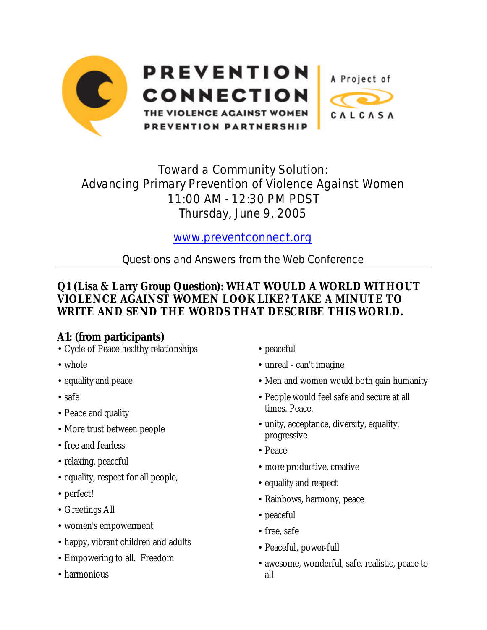

# Toward a Community Solution: Advancing Primary Prevention of Violence Against Women 11:00 AM - 12:30 PM PDST Thursday, June 9, 2005

# www.preventconnect.org

Questions and Answers from the Web Conference

# **Q1 (Lisa & Larry Group Question): WHAT WOULD A WORLD WITHOUT VIOLENCE AGAINST WOMEN LOOK LIKE? TAKE A MINUTE TO WRITE AND SEND THE WORDS THAT DESCRIBE THIS WORLD.**

# **A1: (from participants)**

- Cycle of Peace healthy relationships
- whole
- equality and peace
- safe
- Peace and quality
- More trust between people
- free and fearless
- relaxing, peaceful
- equality, respect for all people,
- perfect!
- Greetings All
- women's empowerment
- happy, vibrant children and adults
- Empowering to all. Freedom
- harmonious
- peaceful
- unreal can't imagine
- Men and women would both gain humanity
- People would feel safe and secure at all times. Peace.
- unity, acceptance, diversity, equality, progressive
- Peace
- more productive, creative
- equality and respect
- Rainbows, harmony, peace
- peaceful
- free, safe
- Peaceful, power-full
- awesome, wonderful, safe, realistic, peace to all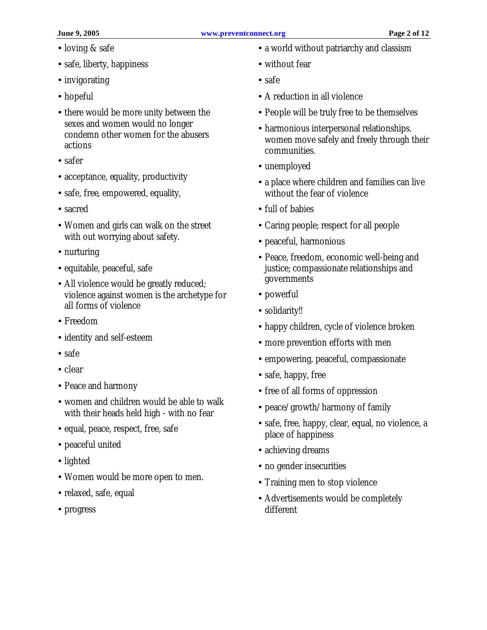- loving & safe
- safe, liberty, happiness
- invigorating
- hopeful
- there would be more unity between the sexes and women would no longer condemn other women for the abusers actions
- safer
- acceptance, equality, productivity
- safe, free, empowered, equality,
- sacred
- Women and girls can walk on the street with out worrying about safety.
- nurturing
- equitable, peaceful, safe
- All violence would be greatly reduced; violence against women is the archetype for all forms of violence
- Freedom
- identity and self-esteem
- safe
- clear
- Peace and harmony
- women and children would be able to walk with their heads held high - with no fear
- equal, peace, respect, free, safe
- peaceful united
- lighted
- Women would be more open to men.
- relaxed, safe, equal
- progress
- a world without patriarchy and classism
- without fear
- safe
- A reduction in all violence
- People will be truly free to be themselves
- harmonious interpersonal relationships. women move safely and freely through their communities.
- unemployed
- a place where children and families can live without the fear of violence
- full of babies
- Caring people; respect for all people
- peaceful, harmonious
- Peace, freedom, economic well-being and justice; compassionate relationships and governments
- powerful
- solidarity!!
- happy children, cycle of violence broken
- more prevention efforts with men
- empowering, peaceful, compassionate
- safe, happy, free
- free of all forms of oppression
- peace/growth/harmony of family
- safe, free, happy, clear, equal, no violence, a place of happiness
- achieving dreams
- no gender insecurities
- Training men to stop violence
- Advertisements would be completely different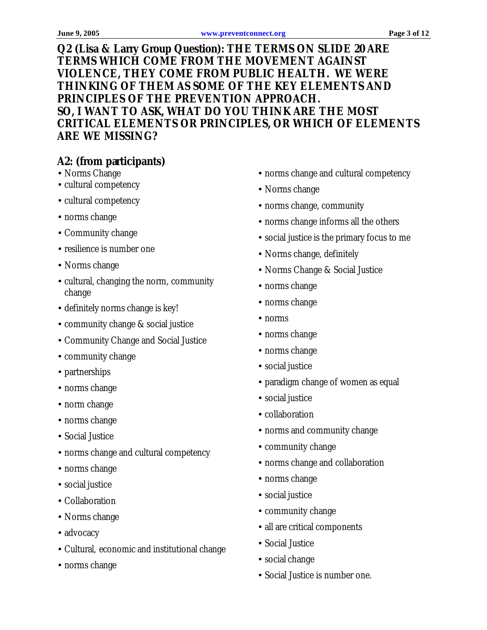**Q2 (Lisa & Larry Group Question): THE TERMS ON SLIDE 20 ARE TERMS WHICH COME FROM THE MOVEMENT AGAINST VIOLENCE, THEY COME FROM PUBLIC HEALTH. WE WERE THINKING OF THEM AS SOME OF THE KEY ELEMENTS AND PRINCIPLES OF THE PREVENTION APPROACH. SO, I WANT TO ASK, WHAT DO YOU THINK ARE THE MOST CRITICAL ELEMENTS OR PRINCIPLES, OR WHICH OF ELEMENTS ARE WE MISSING?**

# **A2: (from participants)**

- Norms Change
- cultural competency
- cultural competency
- norms change
- Community change
- resilience is number one
- Norms change
- cultural, changing the norm, community change
- definitely norms change is key!
- community change & social justice
- Community Change and Social Justice
- community change
- partnerships
- norms change
- norm change
- norms change
- Social Justice
- norms change and cultural competency
- norms change
- social justice
- Collaboration
- Norms change
- advocacy
- Cultural, economic and institutional change
- norms change
- norms change and cultural competency
- Norms change
- norms change, community
- norms change informs all the others
- social justice is the primary focus to me
- Norms change, definitely
- Norms Change & Social Justice
- norms change
- norms change
- norms
- norms change
- norms change
- social justice
- paradigm change of women as equal
- social justice
- collaboration
- norms and community change
- community change
- norms change and collaboration
- norms change
- social justice
- community change
- all are critical components
- Social Justice
- social change
- Social Justice is number one.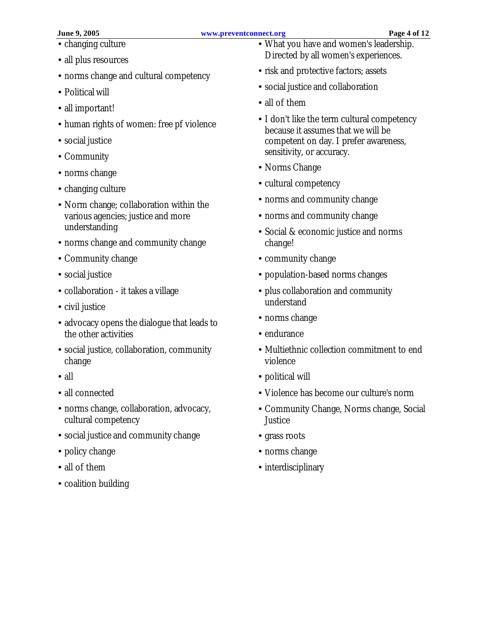- changing culture
- all plus resources
- norms change and cultural competency
- Political will
- all important!
- human rights of women: free pf violence
- social justice
- Community
- norms change
- changing culture
- Norm change; collaboration within the various agencies; justice and more understanding
- norms change and community change
- Community change
- social justice
- collaboration it takes a village
- civil justice
- advocacy opens the dialogue that leads to the other activities
- social justice, collaboration, community change
- all
- all connected
- norms change, collaboration, advocacy, cultural competency
- social justice and community change
- policy change
- all of them
- coalition building
- What you have and women's leadership. Directed by all women's experiences.
- risk and protective factors; assets
- social justice and collaboration
- all of them
- I don't like the term cultural competency because it assumes that we will be competent on day. I prefer awareness, sensitivity, or accuracy.
- Norms Change
- cultural competency
- norms and community change
- norms and community change
- Social & economic justice and norms change!
- community change
- population-based norms changes
- plus collaboration and community understand
- norms change
- endurance
- Multiethnic collection commitment to end violence
- political will
- Violence has become our culture's norm
- Community Change, Norms change, Social **Justice**
- grass roots
- norms change
- interdisciplinary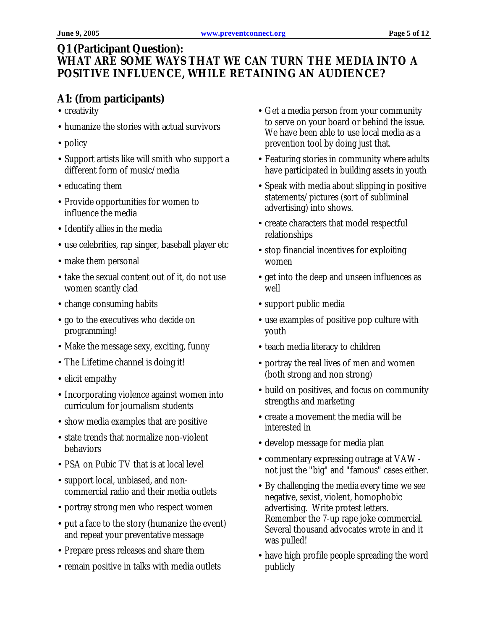#### **Q1 (Participant Question): WHAT ARE SOME WAYS THAT WE CAN TURN THE MEDIA INTO A POSITIVE INFLUENCE, WHILE RETAINING AN AUDIENCE?**

# **A1: (from participants)**

- creativity
- humanize the stories with actual survivors
- policy
- Support artists like will smith who support a different form of music/media
- educating them
- Provide opportunities for women to influence the media
- Identify allies in the media
- use celebrities, rap singer, baseball player etc
- make them personal
- take the sexual content out of it, do not use women scantly clad
- change consuming habits
- go to the executives who decide on programming!
- Make the message sexy, exciting, funny
- The Lifetime channel is doing it!
- elicit empathy
- Incorporating violence against women into curriculum for journalism students
- show media examples that are positive
- state trends that normalize non-violent behaviors
- PSA on Pubic TV that is at local level
- support local, unbiased, and noncommercial radio and their media outlets
- portray strong men who respect women
- put a face to the story (humanize the event) and repeat your preventative message
- Prepare press releases and share them
- remain positive in talks with media outlets
- Get a media person from your community to serve on your board or behind the issue. We have been able to use local media as a prevention tool by doing just that.
- Featuring stories in community where adults have participated in building assets in youth
- Speak with media about slipping in positive statements/pictures (sort of subliminal advertising) into shows.
- create characters that model respectful relationships
- stop financial incentives for exploiting women
- get into the deep and unseen influences as well
- support public media
- use examples of positive pop culture with youth
- teach media literacy to children
- portray the real lives of men and women (both strong and non strong)
- build on positives, and focus on community strengths and marketing
- create a movement the media will be interested in
- develop message for media plan
- commentary expressing outrage at VAW not just the "big" and "famous" cases either.
- By challenging the media every time we see negative, sexist, violent, homophobic advertising. Write protest letters. Remember the 7-up rape joke commercial. Several thousand advocates wrote in and it was pulled!
- have high profile people spreading the word publicly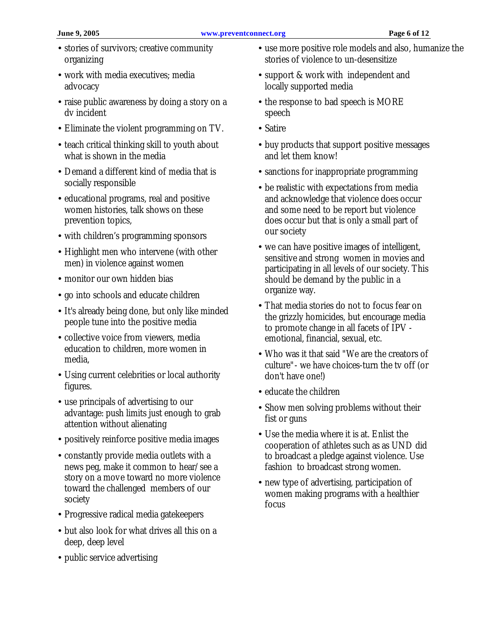- stories of survivors; creative community organizing
- work with media executives; media advocacy
- raise public awareness by doing a story on a dv incident
- Eliminate the violent programming on TV.
- teach critical thinking skill to youth about what is shown in the media
- Demand a different kind of media that is socially responsible
- educational programs, real and positive women histories, talk shows on these prevention topics,
- with children's programming sponsors
- Highlight men who intervene (with other men) in violence against women
- monitor our own hidden bias
- go into schools and educate children
- It's already being done, but only like minded people tune into the positive media
- collective voice from viewers, media education to children, more women in media,
- Using current celebrities or local authority figures.
- use principals of advertising to our advantage: push limits just enough to grab attention without alienating
- positively reinforce positive media images
- constantly provide media outlets with a news peg, make it common to hear/see a story on a move toward no more violence toward the challenged members of our society
- Progressive radical media gatekeepers
- but also look for what drives all this on a deep, deep level
- public service advertising
- use more positive role models and also, humanize the stories of violence to un-desensitize
- support & work with independent and locally supported media
- the response to bad speech is MORE speech
- Satire
- buy products that support positive messages and let them know!
- sanctions for inappropriate programming
- be realistic with expectations from media and acknowledge that violence does occur and some need to be report but violence does occur but that is only a small part of our society
- we can have positive images of intelligent, sensitive and strong women in movies and participating in all levels of our society. This should be demand by the public in a organize way.
- That media stories do not to focus fear on the grizzly homicides, but encourage media to promote change in all facets of IPV emotional, financial, sexual, etc.
- Who was it that said "We are the creators of culture"- we have choices-turn the tv off (or don't have one!)
- educate the children
- Show men solving problems without their fist or guns
- Use the media where it is at. Enlist the cooperation of athletes such as as UND did to broadcast a pledge against violence. Use fashion to broadcast strong women.
- new type of advertising, participation of women making programs with a healthier focus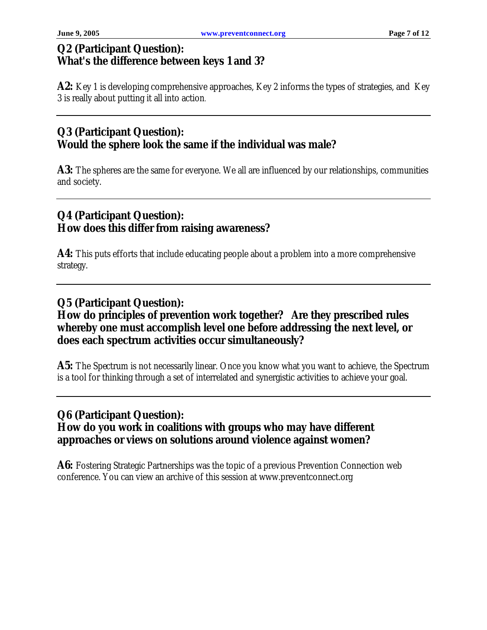#### **Q2 (Participant Question): What's the difference between keys 1 and 3?**

A2: Key 1 is developing comprehensive approaches, Key 2 informs the types of strategies, and Key 3 is really about putting it all into action.

#### **Q3 (Participant Question): Would the sphere look the same if the individual was male?**

A3: The spheres are the same for everyone. We all are influenced by our relationships, communities and society.

#### **Q4 (Participant Question): How does this differ from raising awareness?**

**A4:** This puts efforts that include educating people about a problem into a more comprehensive strategy.

#### **Q5 (Participant Question): How do principles of prevention work together? Are they prescribed rules whereby one must accomplish level one before addressing the next level, or does each spectrum activities occur simultaneously?**

**A5:** The Spectrum is not necessarily linear. Once you know what you want to achieve, the Spectrum is a tool for thinking through a set of interrelated and synergistic activities to achieve your goal.

#### **Q6 (Participant Question): How do you work in coalitions with groups who may have different approaches or views on solutions around violence against women?**

A6: Fostering Strategic Partnerships was the topic of a previous Prevention Connection web conference. You can view an archive of this session at www.preventconnect.org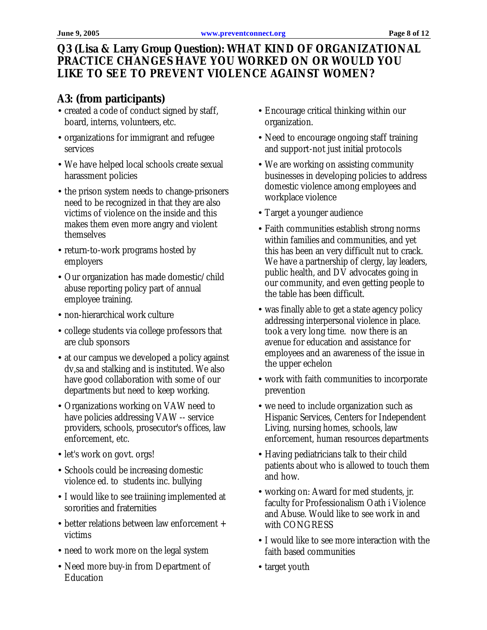# **Q3 (Lisa & Larry Group Question): WHAT KIND OF ORGANIZATIONAL PRACTICE CHANGES HAVE YOU WORKED ON OR WOULD YOU LIKE TO SEE TO PREVENT VIOLENCE AGAINST WOMEN?**

# **A3: (from participants)**

- created a code of conduct signed by staff, board, interns, volunteers, etc.
- organizations for immigrant and refugee services
- We have helped local schools create sexual harassment policies
- the prison system needs to change-prisoners need to be recognized in that they are also victims of violence on the inside and this makes them even more angry and violent themselves
- return-to-work programs hosted by employers
- Our organization has made domestic/child abuse reporting policy part of annual employee training.
- non-hierarchical work culture
- college students via college professors that are club sponsors
- at our campus we developed a policy against dv,sa and stalking and is instituted. We also have good collaboration with some of our departments but need to keep working.
- Organizations working on VAW need to have policies addressing VAW -- service providers, schools, prosecutor's offices, law enforcement, etc.
- let's work on govt. orgs!
- Schools could be increasing domestic violence ed. to students inc. bullying
- I would like to see traiining implemented at sororities and fraternities
- better relations between law enforcement + victims
- need to work more on the legal system
- Need more buy-in from Department of Education
- Encourage critical thinking within our organization.
- Need to encourage ongoing staff training and support-not just initial protocols
- We are working on assisting community businesses in developing policies to address domestic violence among employees and workplace violence
- Target a younger audience
- Faith communities establish strong norms within families and communities, and yet this has been an very difficult nut to crack. We have a partnership of clergy, lay leaders, public health, and DV advocates going in our community, and even getting people to the table has been difficult.
- was finally able to get a state agency policy addressing interpersonal violence in place. took a very long time. now there is an avenue for education and assistance for employees and an awareness of the issue in the upper echelon
- work with faith communities to incorporate prevention
- we need to include organization such as Hispanic Services, Centers for Independent Living, nursing homes, schools, law enforcement, human resources departments
- Having pediatricians talk to their child patients about who is allowed to touch them and how.
- working on: Award for med students, jr. faculty for Professionalism Oath i Violence and Abuse. Would like to see work in and with CONGRESS
- I would like to see more interaction with the faith based communities
- target youth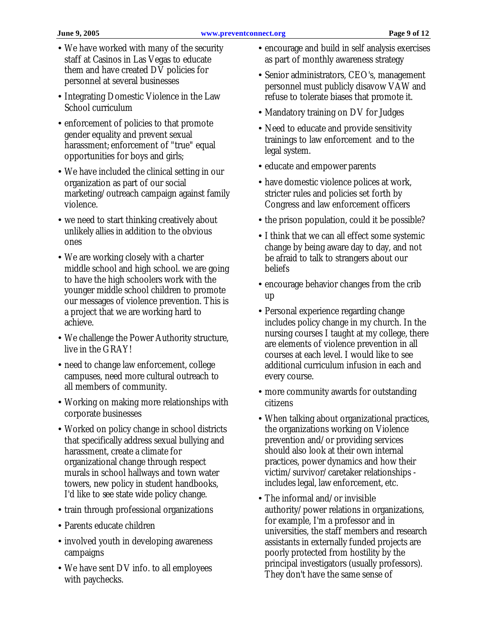- We have worked with many of the security staff at Casinos in Las Vegas to educate them and have created DV policies for personnel at several businesses
- Integrating Domestic Violence in the Law School curriculum
- enforcement of policies to that promote gender equality and prevent sexual harassment; enforcement of "true" equal opportunities for boys and girls;
- We have included the clinical setting in our organization as part of our social marketing/outreach campaign against family violence.
- we need to start thinking creatively about unlikely allies in addition to the obvious ones
- We are working closely with a charter middle school and high school. we are going to have the high schoolers work with the younger middle school children to promote our messages of violence prevention. This is a project that we are working hard to achieve.
- We challenge the Power Authority structure, live in the GRAY!
- need to change law enforcement, college campuses, need more cultural outreach to all members of community.
- Working on making more relationships with corporate businesses
- Worked on policy change in school districts that specifically address sexual bullying and harassment, create a climate for organizational change through respect murals in school hallways and town water towers, new policy in student handbooks, I'd like to see state wide policy change.
- train through professional organizations
- Parents educate children
- involved youth in developing awareness campaigns
- We have sent DV info. to all employees with paychecks.
- encourage and build in self analysis exercises as part of monthly awareness strategy
- Senior administrators, CEO's, management personnel must publicly disavow VAW and refuse to tolerate biases that promote it.
- Mandatory training on DV for Judges
- Need to educate and provide sensitivity trainings to law enforcement and to the legal system.
- educate and empower parents
- have domestic violence polices at work, stricter rules and policies set forth by Congress and law enforcement officers
- the prison population, could it be possible?
- I think that we can all effect some systemic change by being aware day to day, and not be afraid to talk to strangers about our beliefs
- encourage behavior changes from the crib up
- Personal experience regarding change includes policy change in my church. In the nursing courses I taught at my college, there are elements of violence prevention in all courses at each level. I would like to see additional curriculum infusion in each and every course.
- more community awards for outstanding citizens
- When talking about organizational practices, the organizations working on Violence prevention and/or providing services should also look at their own internal practices, power dynamics and how their victim/survivor/caretaker relationships includes legal, law enforcement, etc.
- The informal and/or invisible authority/power relations in organizations, for example, I'm a professor and in universities, the staff members and research assistants in externally funded projects are poorly protected from hostility by the principal investigators (usually professors). They don't have the same sense of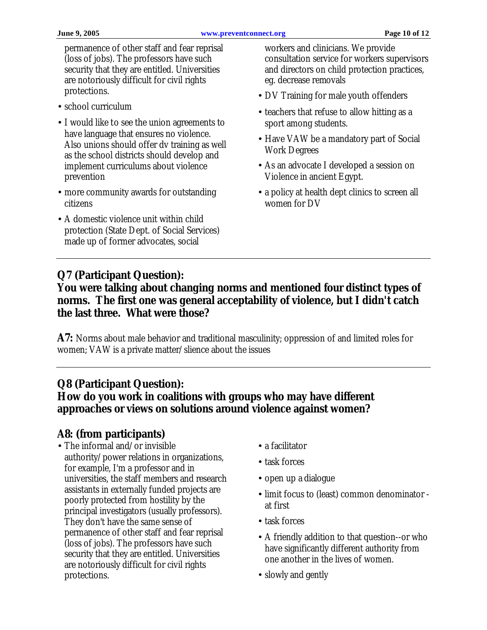permanence of other staff and fear reprisal (loss of jobs). The professors have such security that they are entitled. Universities are notoriously difficult for civil rights protections.

- school curriculum
- I would like to see the union agreements to have language that ensures no violence. Also unions should offer dv training as well as the school districts should develop and implement curriculums about violence prevention
- more community awards for outstanding citizens
- A domestic violence unit within child protection (State Dept. of Social Services) made up of former advocates, social

workers and clinicians. We provide consultation service for workers supervisors and directors on child protection practices, eg. decrease removals

- DV Training for male youth offenders
- teachers that refuse to allow hitting as a sport among students.
- Have VAW be a mandatory part of Social Work Degrees
- As an advocate I developed a session on Violence in ancient Egypt.
- a policy at health dept clinics to screen all women for DV

# **Q7 (Participant Question):**

#### **You were talking about changing norms and mentioned four distinct types of norms. The first one was general acceptability of violence, but I didn't catch the last three. What were those?**

**A7:** Norms about male behavior and traditional masculinity; oppression of and limited roles for women; VAW is a private matter/slience about the issues

# **Q8 (Participant Question):**

### **How do you work in coalitions with groups who may have different approaches or views on solutions around violence against women?**

#### **A8: (from participants)**

- The informal and/or invisible authority/power relations in organizations, for example, I'm a professor and in universities, the staff members and research assistants in externally funded projects are poorly protected from hostility by the principal investigators (usually professors). They don't have the same sense of permanence of other staff and fear reprisal (loss of jobs). The professors have such security that they are entitled. Universities are notoriously difficult for civil rights protections.
- a facilitator
- task forces
- open up a dialogue
- limit focus to (least) common denominator at first
- task forces
- A friendly addition to that question--or who have significantly different authority from one another in the lives of women.
- slowly and gently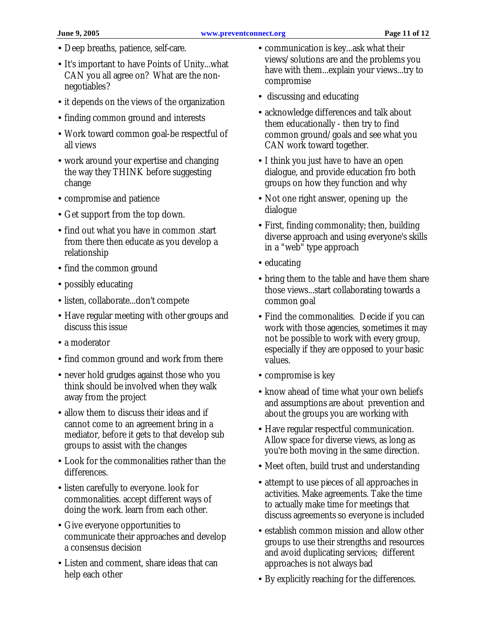- Deep breaths, patience, self-care.
- It's important to have Points of Unity...what CAN you all agree on? What are the nonnegotiables?
- it depends on the views of the organization
- finding common ground and interests
- Work toward common goal-be respectful of all views
- work around your expertise and changing the way they THINK before suggesting change
- compromise and patience
- Get support from the top down.
- find out what you have in common start from there then educate as you develop a relationship
- find the common ground
- possibly educating
- listen, collaborate...don't compete
- Have regular meeting with other groups and discuss this issue
- a moderator
- find common ground and work from there
- never hold grudges against those who you think should be involved when they walk away from the project
- allow them to discuss their ideas and if cannot come to an agreement bring in a mediator, before it gets to that develop sub groups to assist with the changes
- Look for the commonalities rather than the differences.
- listen carefully to everyone. look for commonalities. accept different ways of doing the work. learn from each other.
- Give everyone opportunities to communicate their approaches and develop a consensus decision
- Listen and comment, share ideas that can help each other
- communication is key...ask what their views/solutions are and the problems you have with them...explain your views...try to compromise
- discussing and educating
- acknowledge differences and talk about them educationally - then try to find common ground/goals and see what you CAN work toward together.
- I think you just have to have an open dialogue, and provide education fro both groups on how they function and why
- Not one right answer, opening up the dialogue
- First, finding commonality; then, building diverse approach and using everyone's skills in a "web" type approach
- educating
- bring them to the table and have them share those views...start collaborating towards a common goal
- Find the commonalities. Decide if you can work with those agencies, sometimes it may not be possible to work with every group, especially if they are opposed to your basic values.
- compromise is key
- know ahead of time what your own beliefs and assumptions are about prevention and about the groups you are working with
- Have regular respectful communication. Allow space for diverse views, as long as you're both moving in the same direction.
- Meet often, build trust and understanding
- attempt to use pieces of all approaches in activities. Make agreements. Take the time to actually make time for meetings that discuss agreements so everyone is included
- establish common mission and allow other groups to use their strengths and resources and avoid duplicating services; different approaches is not always bad
- By explicitly reaching for the differences.